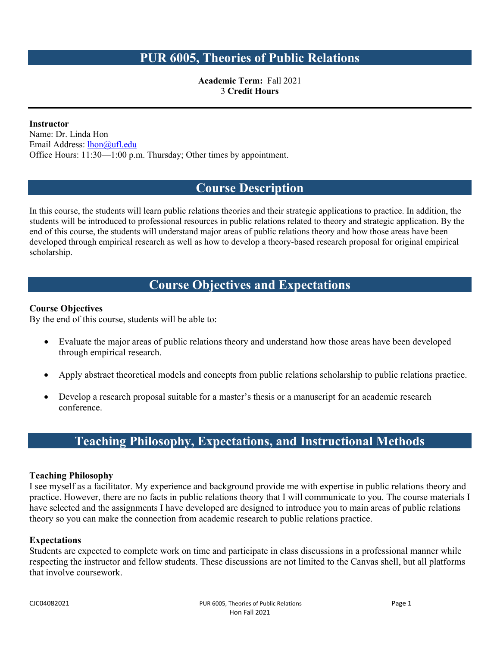## **PUR 6005, Theories of Public Relations**

**Academic Term:** Fall 2021 3 **Credit Hours**

**Instructor** Name: Dr. Linda Hon Email Address: [lhon@ufl.edu](mailto:lhon@ufl.edu) Office Hours: 11:30—1:00 p.m. Thursday; Other times by appointment.

## **Course Description**

In this course, the students will learn public relations theories and their strategic applications to practice. In addition, the students will be introduced to professional resources in public relations related to theory and strategic application. By the end of this course, the students will understand major areas of public relations theory and how those areas have been developed through empirical research as well as how to develop a theory-based research proposal for original empirical scholarship.

# **Course Objectives and Expectations**

#### **Course Objectives**

By the end of this course, students will be able to:

- Evaluate the major areas of public relations theory and understand how those areas have been developed through empirical research.
- Apply abstract theoretical models and concepts from public relations scholarship to public relations practice.
- Develop a research proposal suitable for a master's thesis or a manuscript for an academic research conference.

# **Teaching Philosophy, Expectations, and Instructional Methods**

#### **Teaching Philosophy**

I see myself as a facilitator. My experience and background provide me with expertise in public relations theory and practice. However, there are no facts in public relations theory that I will communicate to you. The course materials I have selected and the assignments I have developed are designed to introduce you to main areas of public relations theory so you can make the connection from academic research to public relations practice.

#### **Expectations**

Students are expected to complete work on time and participate in class discussions in a professional manner while respecting the instructor and fellow students. These discussions are not limited to the Canvas shell, but all platforms that involve coursework.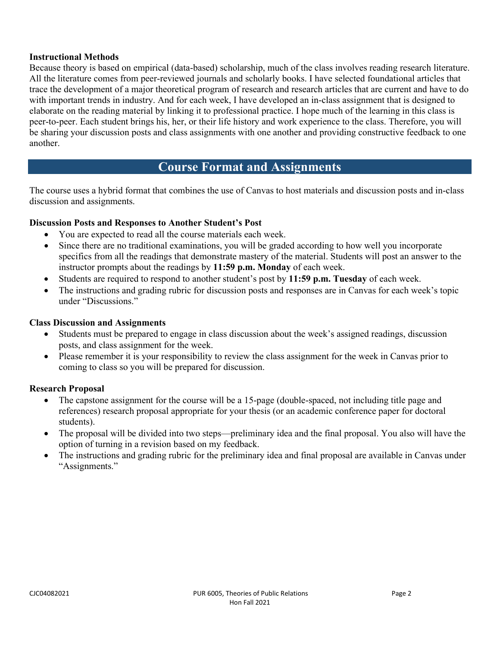#### **Instructional Methods**

Because theory is based on empirical (data-based) scholarship, much of the class involves reading research literature. All the literature comes from peer-reviewed journals and scholarly books. I have selected foundational articles that trace the development of a major theoretical program of research and research articles that are current and have to do with important trends in industry. And for each week, I have developed an in-class assignment that is designed to elaborate on the reading material by linking it to professional practice. I hope much of the learning in this class is peer-to-peer. Each student brings his, her, or their life history and work experience to the class. Therefore, you will be sharing your discussion posts and class assignments with one another and providing constructive feedback to one another.

## **Course Format and Assignments**

The course uses a hybrid format that combines the use of Canvas to host materials and discussion posts and in-class discussion and assignments.

### **Discussion Posts and Responses to Another Student's Post**

- You are expected to read all the course materials each week.
- Since there are no traditional examinations, you will be graded according to how well you incorporate specifics from all the readings that demonstrate mastery of the material. Students will post an answer to the instructor prompts about the readings by **11:59 p.m. Monday** of each week.
- Students are required to respond to another student's post by **11:59 p.m. Tuesday** of each week.
- The instructions and grading rubric for discussion posts and responses are in Canvas for each week's topic under "Discussions."

#### **Class Discussion and Assignments**

- Students must be prepared to engage in class discussion about the week's assigned readings, discussion posts, and class assignment for the week.
- Please remember it is your responsibility to review the class assignment for the week in Canvas prior to coming to class so you will be prepared for discussion.

#### **Research Proposal**

- The capstone assignment for the course will be a 15-page (double-spaced, not including title page and references) research proposal appropriate for your thesis (or an academic conference paper for doctoral students).
- The proposal will be divided into two steps—preliminary idea and the final proposal. You also will have the option of turning in a revision based on my feedback.
- The instructions and grading rubric for the preliminary idea and final proposal are available in Canvas under "Assignments."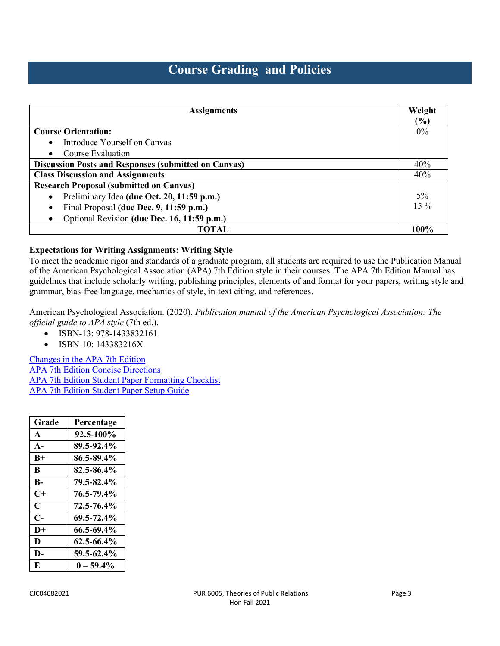# **Course Grading and Policies**

| <b>Assignments</b>                                          | Weight<br>(%) |
|-------------------------------------------------------------|---------------|
| <b>Course Orientation:</b>                                  | $0\%$         |
| Introduce Yourself on Canvas<br>$\bullet$                   |               |
| Course Evaluation<br>$\bullet$                              |               |
| <b>Discussion Posts and Responses (submitted on Canvas)</b> | 40%           |
| <b>Class Discussion and Assignments</b>                     | 40%           |
| <b>Research Proposal (submitted on Canvas)</b>              |               |
| Preliminary Idea (due Oct. 20, 11:59 p.m.)<br>$\bullet$     | $5\%$         |
| Final Proposal (due Dec. 9, 11:59 p.m.)<br>$\bullet$        | $15\%$        |
| Optional Revision (due Dec. 16, 11:59 p.m.)<br>$\bullet$    |               |
| TOTAL                                                       | 100%          |

#### **Expectations for Writing Assignments: Writing Style**

To meet the academic rigor and standards of a graduate program, all students are required to use the Publication Manual of the American Psychological Association (APA) 7th Edition style in their courses. The APA 7th Edition Manual has guidelines that include scholarly writing, publishing principles, elements of and format for your papers, writing style and grammar, bias-free language, mechanics of style, in-text citing, and references.

American Psychological Association. (2020). *Publication manual of the American Psychological Association: The official guide to APA style* (7th ed.).

- ISBN-13: 978-1433832161
- ISBN-10: 143383216X

[Changes in the APA 7th Edition](https://www.scribbr.com/apa-style/apa-seventh-edition-changes/) [APA 7th Edition Concise Directions](https://apastyle.apa.org/instructional-aids/heading-template-student-paper.pdf) [APA 7th Edition Student Paper Formatting Checklist](https://apastyle.apa.org/instructional-aids/concise-guide-formatting-checklist.pdf) [APA 7th Edition Student Paper Setup Guide](https://apastyle.apa.org/instructional-aids/student-paper-setup-guide.pdf)

| Grade        | Percentage      |
|--------------|-----------------|
| A            | 92.5-100%       |
| $A-$         | 89.5-92.4%      |
| $R+$         | 86.5-89.4%      |
| B            | 82.5-86.4%      |
| $\mathbf{B}$ | 79.5-82.4%      |
| $C+$         | 76.5-79.4%      |
| $\mathbf C$  | 72.5-76.4%      |
| $C-$         | $69.5 - 72.4\%$ |
| $D+$         | 66.5-69.4%      |
| D            | $62.5 - 66.4\%$ |
| D-           | 59.5-62.4%      |
| E            | $0 - 59.4\%$    |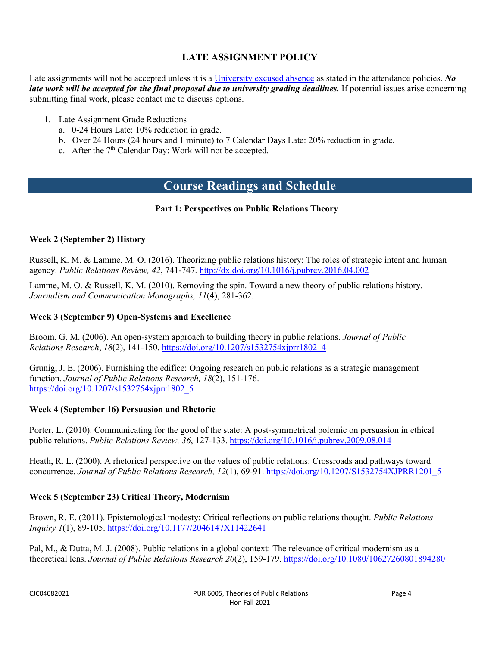## **LATE ASSIGNMENT POLICY**

Late assignments will not be accepted unless it is [a University excused absence](https://catalog.ufl.edu/UGRD/academic-regulations/attendance-policies/) as stated in the attendance policies. *No late work will be accepted for the final proposal due to university grading deadlines.* If potential issues arise concerning submitting final work, please contact me to discuss options.

- 1. Late Assignment Grade Reductions
	- a. 0-24 Hours Late: 10% reduction in grade.
	- b. Over 24 Hours (24 hours and 1 minute) to 7 Calendar Days Late: 20% reduction in grade.
	- c. After the 7<sup>th</sup> Calendar Day: Work will not be accepted.

## **Course Readings and Schedule**

### **Part 1: Perspectives on Public Relations Theory**

### **Week 2 (September 2) History**

Russell, K. M. & Lamme, M. O. (2016). Theorizing public relations history: The roles of strategic intent and human agency. *Public Relations Review, 42*, 741-747.<http://dx.doi.org/10.1016/j.pubrev.2016.04.002>

Lamme, M. O. & Russell, K. M. (2010). Removing the spin. Toward a new theory of public relations history. *Journalism and Communication Monographs, 11*(4), 281-362.

### **Week 3 (September 9) Open-Systems and Excellence**

Broom, G. M. (2006). An open-system approach to building theory in public relations. *Journal of Public Relations Research*, *18*(2), 141-150. [https://doi.org/10.1207/s1532754xjprr1802\\_4](https://doi.org/10.1207/s1532754xjprr1802_4)

Grunig, J. E. (2006). Furnishing the edifice: Ongoing research on public relations as a strategic management function. *Journal of Public Relations Research, 18*(2), 151-176. [https://doi.org/10.1207/s1532754xjprr1802\\_5](https://doi.org/10.1207/s1532754xjprr1802_5)

### **Week 4 (September 16) Persuasion and Rhetoric**

Porter, L. (2010). Communicating for the good of the state: A post-symmetrical polemic on persuasion in ethical public relations. *Public Relations Review, 36*, 127-133.<https://doi.org/10.1016/j.pubrev.2009.08.014>

Heath, R. L. (2000). A rhetorical perspective on the values of public relations: Crossroads and pathways toward concurrence. *Journal of Public Relations Research, 12*(1), 69-91. [https://doi.org/10.1207/S1532754XJPRR1201\\_5](https://doi.org/10.1207/S1532754XJPRR1201_5)

### **Week 5 (September 23) Critical Theory, Modernism**

Brown, R. E. (2011). Epistemological modesty: Critical reflections on public relations thought. *Public Relations Inquiry 1*(1), 89-105[. https://doi.org/10.1177/2046147X11422641](https://doi.org/10.1177/2046147X11422641)

Pal, M., & Dutta, M. J. (2008). Public relations in a global context: The relevance of critical modernism as a theoretical lens. *Journal of Public Relations Research 20*(2), 159-179.<https://doi.org/10.1080/10627260801894280>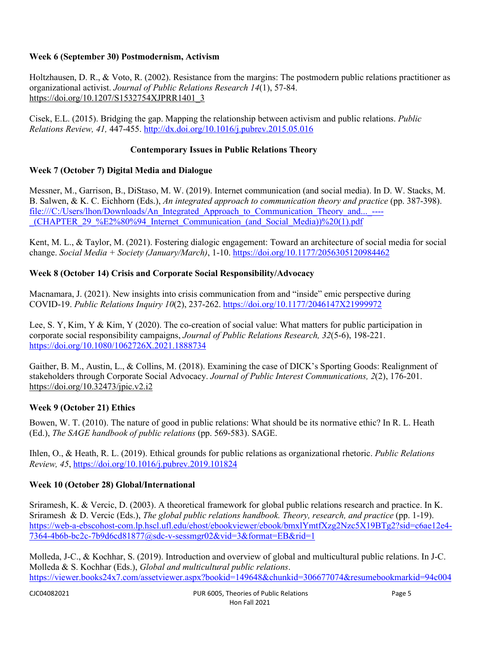### **Week 6 (September 30) Postmodernism, Activism**

Holtzhausen, D. R., & Voto, R. (2002). Resistance from the margins: The postmodern public relations practitioner as organizational activist. *Journal of Public Relations Research 14*(1), 57-84. [https://doi.org/10.1207/S1532754XJPRR1401\\_3](https://doi.org/10.1207/S1532754XJPRR1401_3)

Cisek, E.L. (2015). Bridging the gap. Mapping the relationship between activism and public relations. *Public Relations Review, 41,* 447-455.<http://dx.doi.org/10.1016/j.pubrev.2015.05.016>

### **Contemporary Issues in Public Relations Theory**

### **Week 7 (October 7) Digital Media and Dialogue**

Messner, M., Garrison, B., DiStaso, M. W. (2019). Internet communication (and social media). In D. W. Stacks, M. B. Salwen, & K. C. Eichhorn (Eds.), *An integrated approach to communication theory and practice* (pp. 387-398). file:///C:/Users/lhon/Downloads/An\_Integrated\_Approach\_to\_Communication\_Theory\_and...\_----\_(CHAPTER\_29\_%E2%80%94\_Internet\_Communication\_(and\_Social\_Media))%20(1).pdf

Kent, M. L., & Taylor, M. (2021). Fostering dialogic engagement: Toward an architecture of social media for social change. *Social Media + Society (January/March)*, 1-10.<https://doi.org/10.1177/2056305120984462>

### **Week 8 (October 14) Crisis and Corporate Social Responsibility/Advocacy**

Macnamara, J. (2021). New insights into crisis communication from and "inside" emic perspective during COVID-19. *Public Relations Inquiry 10*(2), 237-262.<https://doi.org/10.1177/2046147X21999972>

Lee, S. Y, Kim, Y & Kim, Y (2020). The co-creation of social value: What matters for public participation in corporate social responsibility campaigns, *Journal of Public Relations Research, 32*(5-6), 198-221. <https://doi.org/10.1080/1062726X.2021.1888734>

Gaither, B. M., Austin, L., & Collins, M. (2018). Examining the case of DICK's Sporting Goods: Realignment of stakeholders through Corporate Social Advocacy. *Journal of Public Interest Communications, 2*(2), 176-201. <https://doi.org/10.32473/jpic.v2.i2>

### **Week 9 (October 21) Ethics**

Bowen, W. T. (2010). The nature of good in public relations: What should be its normative ethic? In R. L. Heath (Ed.), *The SAGE handbook of public relations* (pp. 569-583). SAGE.

Ihlen, O., & Heath, R. L. (2019). Ethical grounds for public relations as organizational rhetoric. *Public Relations Review, 45*,<https://doi.org/10.1016/j.pubrev.2019.101824>

### **Week 10 (October 28) Global/International**

Sriramesh, K. & Vercic, D. (2003). A theoretical framework for global public relations research and practice. In K. Sriramesh & D. Vercic (Eds.), *The global public relations handbook. Theory, research, and practice* (pp. 1-19). [https://web-a-ebscohost-com.lp.hscl.ufl.edu/ehost/ebookviewer/ebook/bmxlYmtfXzg2Nzc5X19BTg2?sid=c6ae12e4-](https://web-a-ebscohost-com.lp.hscl.ufl.edu/ehost/ebookviewer/ebook/bmxlYmtfXzg2Nzc5X19BTg2?sid=c6ae12e4-7364-4b6b-bc2c-7b9d6cd81877@sdc-v-sessmgr02&vid=3&format=EB&rid=1)  $7364-466b-$ bc2c-7b9d6cd81877@sdc-v-sessmgr02&vid=3&format=EB&rid=1

Molleda, J-C., & Kochhar, S. (2019). Introduction and overview of global and multicultural public relations. In J-C. Molleda & S. Kochhar (Eds.), *Global and multicultural public relations*. [https://viewer.books24x7.com/assetviewer.aspx?bookid=149648&chunkid=306677074&resumebookmarkid=94c004](https://viewer.books24x7.com/assetviewer.aspx?bookid=149648&chunkid=306677074&resumebookmarkid=94c004d2-d0f6-eb11-80ba-0050569562bd)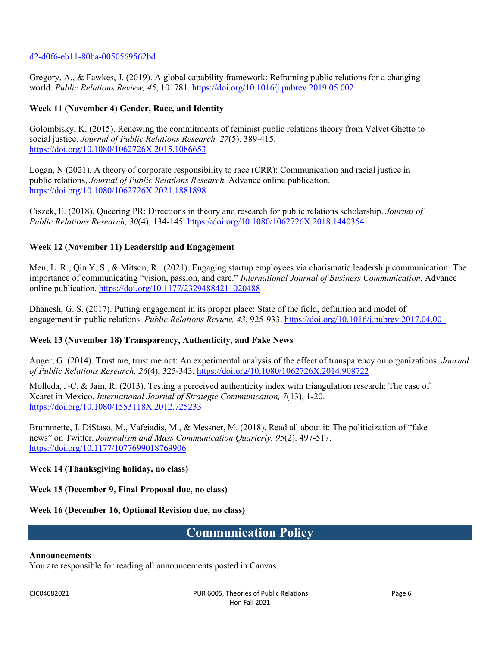#### [d2-d0f6-eb11-80ba-0050569562bd](https://viewer.books24x7.com/assetviewer.aspx?bookid=149648&chunkid=306677074&resumebookmarkid=94c004d2-d0f6-eb11-80ba-0050569562bd)

Gregory, A., & Fawkes, J. (2019). A global capability framework: Reframing public relations for a changing world. *Public Relations Review, 45*, 101781.<https://doi.org/10.1016/j.pubrev.2019.05.002>

#### **Week 11 (November 4) Gender, Race, and Identity**

Golombisky, K. (2015). Renewing the commitments of feminist public relations theory from Velvet Ghetto to social justice. *Journal of Public Relations Research, 27*(5), 389-415. <https://doi.org/10.1080/1062726X.2015.1086653>

Logan, N (2021). A theory of corporate responsibility to race (CRR): Communication and racial justice in public relations, *Journal of Public Relations Research.* Advance online publication. <https://doi.org/10.1080/1062726X.2021.1881898>

Ciszek, E. (2018). Queering PR: Directions in theory and research for public relations scholarship. *Journal of Public Relations Research, 30*(4), 134-145. <https://doi.org/10.1080/1062726X.2018.1440354>

#### **Week 12 (November 11) Leadership and Engagement**

Men, L. R., Qin Y. S., & Mitson, R. (2021). Engaging startup employees via charismatic leadership communication: The importance of communicating "vision, passion, and care." *International Journal of Business Communication*. Advance online publication.<https://doi.org/10.1177/23294884211020488>

Dhanesh, G. S. (2017). Putting engagement in its proper place: State of the field, definition and model of engagement in public relations. *Public Relations Review, 43*, 925-933.<https://doi.org/10.1016/j.pubrev.2017.04.001>

#### **Week 13 (November 18) Transparency, Authenticity, and Fake News**

Auger, G. (2014). Trust me, trust me not: An experimental analysis of the effect of transparency on organizations. *Journal of Public Relations Research, 26*(4), 325-343.<https://doi.org/10.1080/1062726X.2014.908722>

Molleda, J-C. & Jain, R. (2013). Testing a perceived authenticity index with triangulation research: The case of Xcaret in Mexico. *International Journal of Strategic Communication, 7*(13), 1-20. <https://doi.org/10.1080/1553118X.2012.725233>

Brummette, J. DiStaso, M., Vafeiadis, M., & Messner, M. (2018). Read all about it: The politicization of "fake news" on Twitter. *Journalism and Mass Communication Quarterly, 95*(2). 497-517. <https://doi.org/10.1177/1077699018769906>

#### **Week 14 (Thanksgiving holiday, no class)**

**Week 15 (December 9, Final Proposal due, no class)**

**Week 16 (December 16, Optional Revision due, no class)**

## **Communication Policy**

#### **Announcements**

You are responsible for reading all announcements posted in Canvas.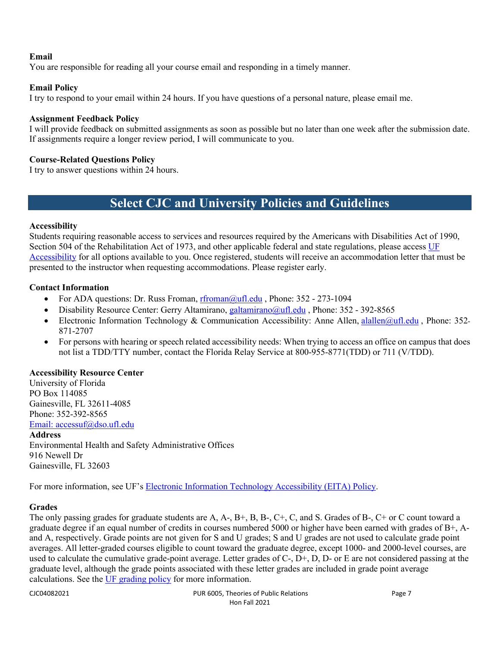### **Email**

You are responsible for reading all your course email and responding in a timely manner.

#### **Email Policy**

I try to respond to your email within 24 hours. If you have questions of a personal nature, please email me.

#### **Assignment Feedback Policy**

I will provide feedback on submitted assignments as soon as possible but no later than one week after the submission date. If assignments require a longer review period, I will communicate to you.

#### **Course-Related Questions Policy**

I try to answer questions within 24 hours.

# **Select CJC and University Policies and Guidelines**

#### **Accessibility**

Students requiring reasonable access to services and resources required by the Americans with Disabilities Act of 1990, Section 504 of the Rehabilitation Act of 1973, and other applicable federal and state regulations, please access UF [Accessibility](https://accessibility.ufl.edu/) for all options available to you. Once registered, students will receive an accommodation letter that must be presented to the instructor when requesting accommodations. Please register early.

#### **Contact Information**

- For ADA questions: Dr. Russ Froman, [rfroman@ufl.edu](mailto:rfroman@ufl.edu?Subject=Subject%20Here) , Phone: 352 273-1094
- Disability Resource Center: Gerry Altamirano, [galtamirano@ufl.edu](mailto:galtamirano@ufl.edu?Subject=Subject%20Here) , Phone: 352 392-8565
- Electronic Information Technology & Communication Accessibility: Anne Allen, [alallen@ufl.edu](mailto:alallen@ufl.edu?Subject=Subject%20Here) , Phone: 352- 871-2707
- For persons with hearing or speech related accessibility needs: When trying to access an office on campus that does not list a TDD/TTY number, contact the Florida Relay Service at 800-955-8771(TDD) or 711 (V/TDD).

#### **Accessibility Resource Center**

University of Florida PO Box 114085 Gainesville, FL 32611-4085 Phone: 352-392-8565 [Email: accessuf@dso.ufl.edu](mailto:accessuf@dso.ufl.edu) **Address**

Environmental Health and Safety Administrative Offices 916 Newell Dr Gainesville, FL 32603

For more information, see UF's [Electronic Information Technology Accessibility \(EITA\) Policy.](https://it.ufl.edu/policies/eita-accessibility/eita-policy/)

#### **Grades**

The only passing grades for graduate students are A, A-, B+, B, B-, C+, C, and S. Grades of B-, C+ or C count toward a graduate degree if an equal number of credits in courses numbered 5000 or higher have been earned with grades of  $B<sub>+</sub>$ , Aand A, respectively. Grade points are not given for S and U grades; S and U grades are not used to calculate grade point averages. All letter-graded courses eligible to count toward the graduate degree, except 1000- and 2000-level courses, are used to calculate the cumulative grade-point average. Letter grades of C-, D+, D, D- or E are not considered passing at the graduate level, although the grade points associated with these letter grades are included in grade point average calculations. See the [UF grading policy](https://catalog.ufl.edu/graduate/regulations/#text) for more information.

CJC04082021 PUR 6005, Theories of Public Relations Page 7 Hon Fall 2021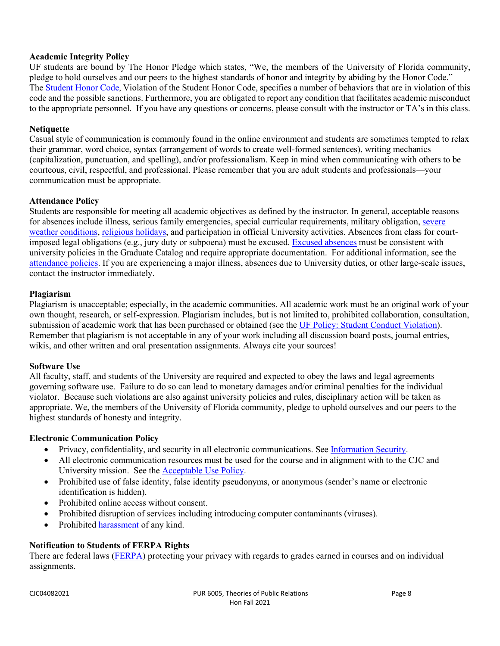#### **Academic Integrity Policy**

UF students are bound by The Honor Pledge which states, "We, the members of the University of Florida community, pledge to hold ourselves and our peers to the highest standards of honor and integrity by abiding by the Honor Code." The Student Honor Code, Violation of the Student Honor Code, specifies a number of behaviors that are in violation of this code and the possible sanctions. Furthermore, you are obligated to report any condition that facilitates academic misconduct to the appropriate personnel. If you have any questions or concerns, please consult with the instructor or TA's in this class.

#### **Netiquette**

Casual style of communication is commonly found in the online environment and students are sometimes tempted to relax their grammar, word choice, syntax (arrangement of words to create well-formed sentences), writing mechanics (capitalization, punctuation, and spelling), and/or professionalism. Keep in mind when communicating with others to be courteous, civil, respectful, and professional. Please remember that you are adult students and professionals—your communication must be appropriate.

#### **Attendance Policy**

Students are responsible for meeting all academic objectives as defined by the instructor. In general, acceptable reasons for absences include illness, serious family emergencies, special curricular requirements, military obligation, severe weather conditions, religious holidays, and participation in official University activities. Absences from class for courtimposed legal obligations (e.g., jury duty or subpoena) must be excused. Excused absences must be consistent with university policies in the Graduate Catalog and require appropriate documentation. For additional information, see the attendance policies. If you are experiencing a major illness, absences due to University duties, or other large-scale issues, contact the instructor immediately.

#### **Plagiarism**

Plagiarism is unacceptable; especially, in the academic communities. All academic work must be an original work of your own thought, research, or self-expression. Plagiarism includes, but is not limited to, prohibited collaboration, consultation, submission of academic work that has been purchased or obtained (see the UF Policy: Student Conduct Violation). Remember that plagiarism is not acceptable in any of your work including all discussion board posts, journal entries, wikis, and other written and oral presentation assignments. Always cite your sources!

#### **Software Use**

All faculty, staff, and students of the University are required and expected to obey the laws and legal agreements governing software use. Failure to do so can lead to monetary damages and/or criminal penalties for the individual violator. Because such violations are also against university policies and rules, disciplinary action will be taken as appropriate. We, the members of the University of Florida community, pledge to uphold ourselves and our peers to the highest standards of honesty and integrity.

### **Electronic Communication Policy**

- Privacy, confidentiality, and security in all electronic communications. See Information Security.
- All electronic communication resources must be used for the course and in alignment with to the CJC and University mission. See the Acceptable Use Policy.
- Prohibited use of false identity, false identity pseudonyms, or anonymous (sender's name or electronic identification is hidden).
- Prohibited online access without consent.
- Prohibited disruption of services including introducing computer contaminants (viruses).
- Prohibited **harassment** of any kind.

### **Notification to Students of FERPA Rights**

There are federal laws (FERPA) protecting your privacy with regards to grades earned in courses and on individual assignments.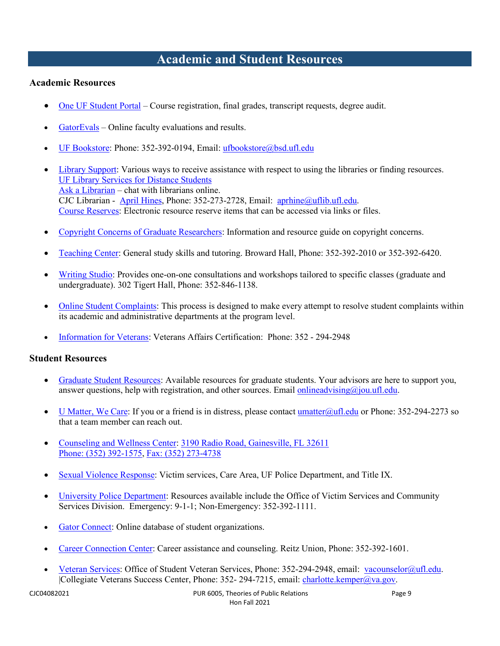# **Academic and Student Resources**

### **Academic Resources**

- One UF Student Portal Course registration, final grades, transcript requests, degree audit.
- GatorEvals Online faculty evaluations and results.
- UF Bookstore: Phone: 352-392-0194, Email: ufbookstore@bsd.ufl.edu
- Library Support: Various ways to receive assistance with respect to using the libraries or finding resources. UF Library Services for Distance Students Ask a Librarian – chat with librarians online. CJC Librarian - April Hines, Phone: 352-273-2728, Email: aprhine@uflib.ufl.edu. Course Reserves: Electronic resource reserve items that can be accessed via links or files.
- Copyright Concerns of Graduate Researchers: Information and resource guide on copyright concerns.
- Teaching Center: General study skills and tutoring. Broward Hall, Phone: 352-392-2010 or 352-392-6420.
- Writing Studio: Provides one-on-one consultations and workshops tailored to specific classes (graduate and undergraduate). 302 Tigert Hall, Phone: 352-846-1138.
- Online Student Complaints: This process is designed to make every attempt to resolve student complaints within its academic and administrative departments at the program level.
- Information for Veterans: Veterans Affairs Certification: Phone: 352 294-2948

### **Student Resources**

- Graduate Student Resources: Available resources for graduate students. Your advisors are here to support you, answer questions, help with registration, and other sources. Email onlineadvising@jou.ufl.edu.
- U Matter, We Care: If you or a friend is in distress, please contact umatter  $\omega$ ufl.edu or Phone: 352-294-2273 so that a team member can reach out.
- Counseling and Wellness Center: 3190 Radio Road, Gainesville, FL 32611 Phone: (352) 392-1575, Fax: (352) 273-4738
- Sexual Violence Response: Victim services, Care Area, UF Police Department, and Title IX.
- University Police Department: Resources available include the Office of Victim Services and Community Services Division. Emergency: 9-1-1; Non-Emergency: 352-392-1111.
- Gator Connect: Online database of student organizations.
- Career Connection Center: Career assistance and counseling. Reitz Union, Phone: 352-392-1601.
- Veteran Services: Office of Student Veteran Services, Phone: 352-294-2948, email: vacounselor@ufl.edu. |Collegiate Veterans Success Center, Phone: 352- 294-7215, email: charlotte.kemper@va.gov.